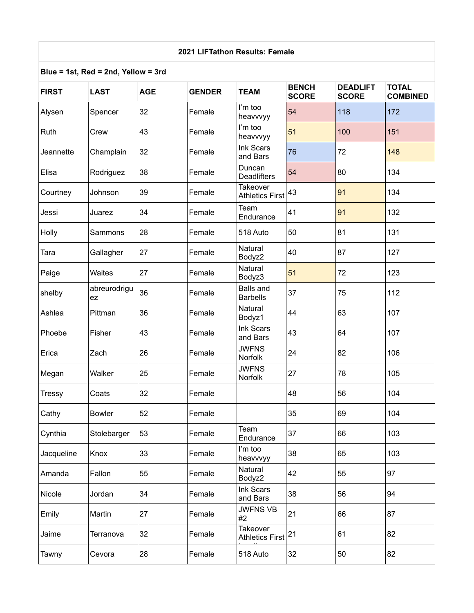## **2021 LIFTathon Results: Female**

## **Blue = 1st, Red = 2nd, Yellow = 3rd**

| <b>FIRST</b>  | <b>LAST</b>        | <b>AGE</b> | <b>GENDER</b> | <b>TEAM</b>                               | <b>BENCH</b><br><b>SCORE</b> | <b>DEADLIFT</b><br><b>SCORE</b> | <b>TOTAL</b><br><b>COMBINED</b> |
|---------------|--------------------|------------|---------------|-------------------------------------------|------------------------------|---------------------------------|---------------------------------|
| Alysen        | Spencer            | 32         | Female        | I'm too<br>heavvvyy                       | 54                           | 118                             | 172                             |
| Ruth          | Crew               | 43         | Female        | I'm too<br>heavvvyy                       | 51                           | 100                             | 151                             |
| Jeannette     | Champlain          | 32         | Female        | Ink Scars<br>and Bars                     | 76                           | 72                              | 148                             |
| Elisa         | Rodriguez          | 38         | Female        | Duncan<br><b>Deadlifters</b>              | 54                           | 80                              | 134                             |
| Courtney      | Johnson            | 39         | Female        | <b>Takeover</b><br><b>Athletics First</b> | 43                           | 91                              | 134                             |
| Jessi         | Juarez             | 34         | Female        | Team<br>Endurance                         | 41                           | 91                              | 132                             |
| Holly         | Sammons            | 28         | Female        | 518 Auto                                  | 50                           | 81                              | 131                             |
| Tara          | Gallagher          | 27         | Female        | Natural<br>Bodyz2                         | 40                           | 87                              | 127                             |
| Paige         | Waites             | 27         | Female        | Natural<br>Bodyz3                         | 51                           | 72                              | 123                             |
| shelby        | abreurodrigu<br>ez | 36         | Female        | <b>Balls and</b><br><b>Barbells</b>       | 37                           | 75                              | 112                             |
| Ashlea        | Pittman            | 36         | Female        | Natural<br>Bodyz1                         | 44                           | 63                              | 107                             |
| Phoebe        | Fisher             | 43         | Female        | Ink Scars<br>and Bars                     | 43                           | 64                              | 107                             |
| Erica         | Zach               | 26         | Female        | <b>JWFNS</b><br>Norfolk                   | 24                           | 82                              | 106                             |
| Megan         | Walker             | 25         | Female        | <b>JWFNS</b><br>Norfolk                   | 27                           | 78                              | 105                             |
| <b>Tressy</b> | Coats              | 32         | Female        |                                           | 48                           | 56                              | 104                             |
| Cathy         | <b>Bowler</b>      | 52         | Female        |                                           | 35                           | 69                              | 104                             |
| Cynthia       | Stolebarger        | 53         | Female        | Team<br>Endurance                         | 37                           | 66                              | 103                             |
| Jacqueline    | Knox               | 33         | Female        | I'm too<br>heavvvyy                       | 38                           | 65                              | 103                             |
| Amanda        | Fallon             | 55         | Female        | Natural<br>Bodyz2                         | 42                           | 55                              | 97                              |
| Nicole        | Jordan             | 34         | Female        | Ink Scars<br>and Bars                     | 38                           | 56                              | 94                              |
| Emily         | Martin             | 27         | Female        | <b>JWFNS VB</b><br>#2                     | 21                           | 66                              | 87                              |
| Jaime         | Terranova          | 32         | Female        | <b>Takeover</b><br><b>Athletics First</b> | 21                           | 61                              | 82                              |
| Tawny         | Cevora             | 28         | Female        | 518 Auto                                  | 32                           | 50                              | 82                              |